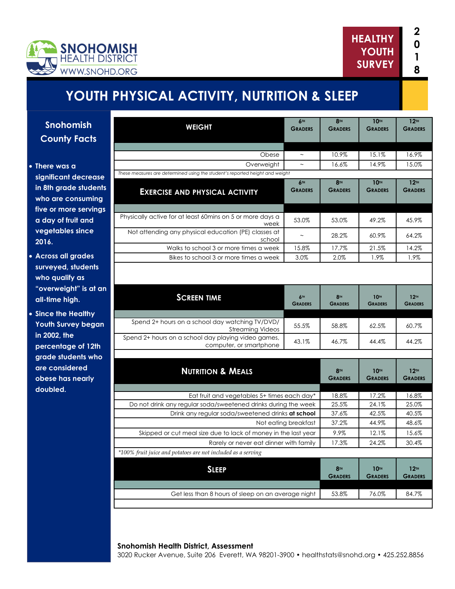

# **YOUTH PHYSICAL ACTIVITY, NUTRITION & SLEEP**

**Snohomish County Facts** 

### **There was a**

**significant decrease in 8th grade students who are consuming five or more servings a day of fruit and vegetables since 2016.** 

- **Across all grades surveyed, students who qualify as "overweight" is at an all-time high.**
- **Since the Healthy Youth Survey began in 2002, the percentage of 12th grade students who are considered obese has nearly doubled.**

| <b>WEIGHT</b>                                                                  | 6TH<br><b>GRADERS</b> | <b>8TH</b><br><b>GRADERS</b> | 10TH<br><b>GRADERS</b>             | 12 <sup>TH</sup><br><b>GRADERS</b> |
|--------------------------------------------------------------------------------|-----------------------|------------------------------|------------------------------------|------------------------------------|
|                                                                                |                       |                              |                                    |                                    |
| Obese                                                                          | $\sim$                | 10.9%                        | 15.1%                              | 16.9%                              |
| Overweight                                                                     |                       | 16.6%                        | 14.9%                              | 15.0%                              |
| These measures are determined using the student's reported height and weight   |                       |                              |                                    |                                    |
|                                                                                | 6TH                   | <b>8TH</b>                   | <b>10TH</b>                        | 12 <sup>TH</sup>                   |
| <b>EXERCISE AND PHYSICAL ACTIVITY</b>                                          | <b>GRADERS</b>        | <b>GRADERS</b>               | <b>GRADERS</b>                     | <b>GRADERS</b>                     |
|                                                                                |                       |                              |                                    |                                    |
| Physically active for at least 60mins on 5 or more days a<br>week              | 53.0%                 | 53.0%                        | 49.2%                              | 45.9%                              |
| Not attending any physical education (PE) classes at<br>school                 | $\sim$                | 28.2%                        | 60.9%                              | 64.2%                              |
| Walks to school 3 or more times a week                                         | 15.8%                 | 17.7%                        | 21.5%                              | 14.2%                              |
| Bikes to school 3 or more times a week                                         | 3.0%                  | 2.0%                         | 1.9%                               | 1.9%                               |
| <b>SCREEN TIME</b>                                                             | 6TH                   | <b>8TH</b>                   | 10TH                               | 12 <sup>TH</sup>                   |
|                                                                                | <b>GRADERS</b>        | <b>GRADERS</b>               | <b>GRADERS</b>                     | <b>GRADERS</b>                     |
| Spend 2+ hours on a school day watching TV/DVD/<br><b>Streaming Videos</b>     | 55.5%                 | 58.8%                        | 62.5%                              | 60.7%                              |
| Spend 2+ hours on a school day playing video games,<br>computer, or smartphone | 43.1%                 | 46.7%                        | 44.4%                              | 44.2%                              |
|                                                                                |                       |                              |                                    |                                    |
| <b>NUTRITION &amp; MEALS</b>                                                   |                       | <b>8TH</b><br><b>GRADERS</b> | 10 <sup>th</sup><br><b>GRADERS</b> | 12 <sup>TH</sup><br><b>GRADERS</b> |
| Eat fruit and vegetables 5+ times each day*                                    |                       | 18.8%                        | 17.2%                              | 16.8%                              |
| Do not drink any regular soda/sweetened drinks during the week                 |                       | 25.5%                        | 24.1%                              | 25.0%                              |
| Drink any regular soda/sweetened drinks at school                              |                       | 37.6%                        | 42.5%                              | 40.5%                              |
| Not eating breakfast                                                           |                       | 37.2%                        | 44.9%                              | 48.6%                              |
| Skipped or cut meal size due to lack of money in the last year                 |                       | 9.9%                         | 12.1%                              | 15.6%                              |
| Rarely or never eat dinner with family                                         |                       | 17.3%                        | 24.2%                              | 30.4%                              |
| *100% fruit juice and potatoes are not included as a serving                   |                       |                              |                                    |                                    |
| <b>SLEEP</b>                                                                   |                       | <b>8TH</b><br><b>GRADERS</b> | <b>10TH</b><br><b>GRADERS</b>      | 12 <sup>TH</sup><br><b>GRADERS</b> |
| Get less than 8 hours of sleep on an average night                             |                       | 53.8%                        | 76.0%                              | 84.7%                              |
|                                                                                |                       |                              |                                    |                                    |

#### **Snohomish Health District, Assessment**